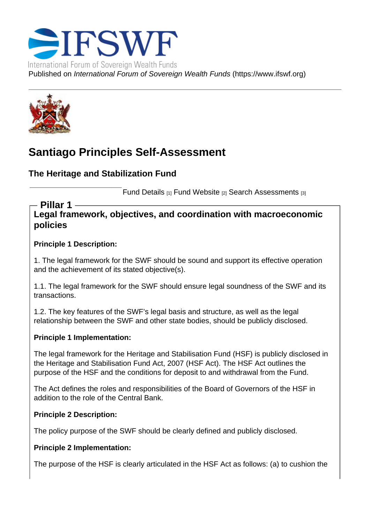# Santiago Principles Self-Assessment

The Heritage and Stabilization Fund

Fund Details [1] Fund Website [2] Search Assessments [3]

Legal framework, objectives, and coordination with macroeconomic policies Pillar 1

Principle 1 Description:

1. The legal framework for the SWF should be sound and support its effective operation and the achievement of its stated objective(s).

1.1. The legal framework for the SWF should ensure legal soundness of the SWF and its transactions.

1.2. The key features of the SWF's legal basis and structure, as well as the legal relationship between the SWF and other state bodies, should be publicly disclosed.

Principle 1 Implementation:

The legal framework for the Heritage and Stabilisation Fund (HSF) is publicly disclosed in the Heritage and Stabilisation Fund Act, 2007 (HSF Act). The HSF Act outlines the purpose of the HSF and the conditions for deposit to and withdrawal from the Fund.

The Act defines the roles and responsibilities of the Board of Governors of the HSF in addition to the role of the Central Bank.

Principle 2 Description:

The policy purpose of the SWF should be clearly defined and publicly disclosed.

Principle 2 Implementation:

The purpose of the HSF is clearly articulated in the HSF Act as follows: (a) to cushion the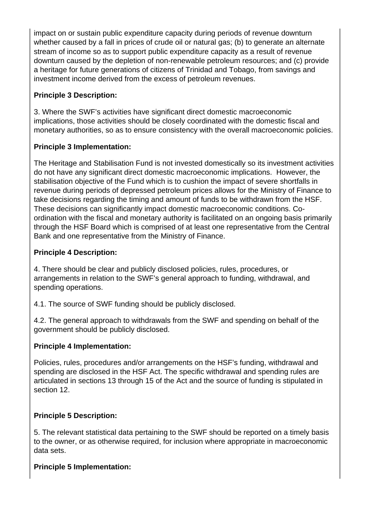impact on or sustain public expenditure capacity during periods of revenue downturn whether caused by a fall in prices of crude oil or natural gas; (b) to generate an alternate stream of income so as to support public expenditure capacity as a result of revenue downturn caused by the depletion of non-renewable petroleum resources; and (c) provide a heritage for future generations of citizens of Trinidad and Tobago, from savings and investment income derived from the excess of petroleum revenues.

# **Principle 3 Description:**

3. Where the SWF's activities have significant direct domestic macroeconomic implications, those activities should be closely coordinated with the domestic fiscal and monetary authorities, so as to ensure consistency with the overall macroeconomic policies.

# **Principle 3 Implementation:**

The Heritage and Stabilisation Fund is not invested domestically so its investment activities do not have any significant direct domestic macroeconomic implications. However, the stabilisation objective of the Fund which is to cushion the impact of severe shortfalls in revenue during periods of depressed petroleum prices allows for the Ministry of Finance to take decisions regarding the timing and amount of funds to be withdrawn from the HSF. These decisions can significantly impact domestic macroeconomic conditions. Coordination with the fiscal and monetary authority is facilitated on an ongoing basis primarily through the HSF Board which is comprised of at least one representative from the Central Bank and one representative from the Ministry of Finance.

# **Principle 4 Description:**

4. There should be clear and publicly disclosed policies, rules, procedures, or arrangements in relation to the SWF's general approach to funding, withdrawal, and spending operations.

4.1. The source of SWF funding should be publicly disclosed.

4.2. The general approach to withdrawals from the SWF and spending on behalf of the government should be publicly disclosed.

# **Principle 4 Implementation:**

Policies, rules, procedures and/or arrangements on the HSF's funding, withdrawal and spending are disclosed in the HSF Act. The specific withdrawal and spending rules are articulated in sections 13 through 15 of the Act and the source of funding is stipulated in section 12.

# **Principle 5 Description:**

5. The relevant statistical data pertaining to the SWF should be reported on a timely basis to the owner, or as otherwise required, for inclusion where appropriate in macroeconomic data sets.

# **Principle 5 Implementation:**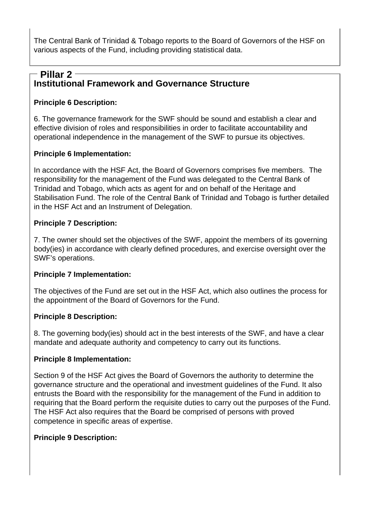The Central Bank of Trinidad & Tobago reports to the Board of Governors of the HSF on various aspects of the Fund, including providing statistical data.

# **Institutional Framework and Governance Structure Pillar 2**

# **Principle 6 Description:**

6. The governance framework for the SWF should be sound and establish a clear and effective division of roles and responsibilities in order to facilitate accountability and operational independence in the management of the SWF to pursue its objectives.

#### **Principle 6 Implementation:**

In accordance with the HSF Act, the Board of Governors comprises five members. The responsibility for the management of the Fund was delegated to the Central Bank of Trinidad and Tobago, which acts as agent for and on behalf of the Heritage and Stabilisation Fund. The role of the Central Bank of Trinidad and Tobago is further detailed in the HSF Act and an Instrument of Delegation.

#### **Principle 7 Description:**

7. The owner should set the objectives of the SWF, appoint the members of its governing body(ies) in accordance with clearly defined procedures, and exercise oversight over the SWF's operations.

#### **Principle 7 Implementation:**

The objectives of the Fund are set out in the HSF Act, which also outlines the process for the appointment of the Board of Governors for the Fund.

#### **Principle 8 Description:**

8. The governing body(ies) should act in the best interests of the SWF, and have a clear mandate and adequate authority and competency to carry out its functions.

#### **Principle 8 Implementation:**

Section 9 of the HSF Act gives the Board of Governors the authority to determine the governance structure and the operational and investment guidelines of the Fund. It also entrusts the Board with the responsibility for the management of the Fund in addition to requiring that the Board perform the requisite duties to carry out the purposes of the Fund. The HSF Act also requires that the Board be comprised of persons with proved competence in specific areas of expertise.

#### **Principle 9 Description:**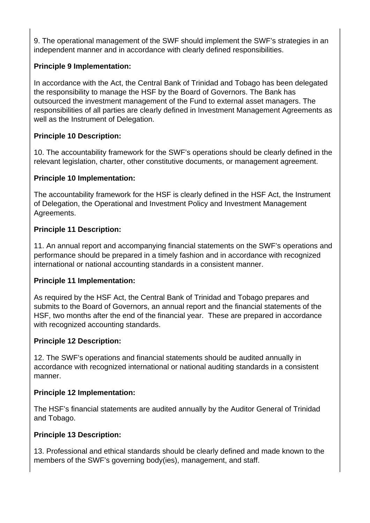9. The operational management of the SWF should implement the SWF's strategies in an independent manner and in accordance with clearly defined responsibilities.

# **Principle 9 Implementation:**

In accordance with the Act, the Central Bank of Trinidad and Tobago has been delegated the responsibility to manage the HSF by the Board of Governors. The Bank has outsourced the investment management of the Fund to external asset managers. The responsibilities of all parties are clearly defined in Investment Management Agreements as well as the Instrument of Delegation.

# **Principle 10 Description:**

10. The accountability framework for the SWF's operations should be clearly defined in the relevant legislation, charter, other constitutive documents, or management agreement.

# **Principle 10 Implementation:**

The accountability framework for the HSF is clearly defined in the HSF Act, the Instrument of Delegation, the Operational and Investment Policy and Investment Management Agreements.

# **Principle 11 Description:**

11. An annual report and accompanying financial statements on the SWF's operations and performance should be prepared in a timely fashion and in accordance with recognized international or national accounting standards in a consistent manner.

# **Principle 11 Implementation:**

As required by the HSF Act, the Central Bank of Trinidad and Tobago prepares and submits to the Board of Governors, an annual report and the financial statements of the HSF, two months after the end of the financial year. These are prepared in accordance with recognized accounting standards.

# **Principle 12 Description:**

12. The SWF's operations and financial statements should be audited annually in accordance with recognized international or national auditing standards in a consistent manner.

# **Principle 12 Implementation:**

The HSF's financial statements are audited annually by the Auditor General of Trinidad and Tobago.

# **Principle 13 Description:**

13. Professional and ethical standards should be clearly defined and made known to the members of the SWF's governing body(ies), management, and staff.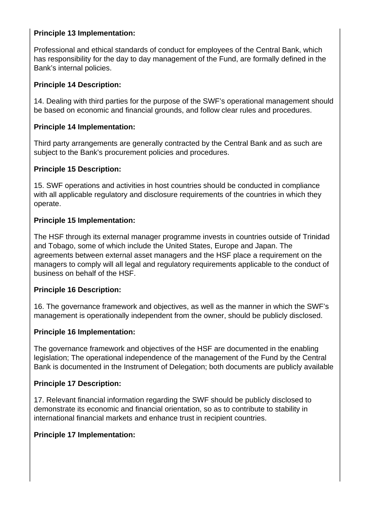# **Principle 13 Implementation:**

Professional and ethical standards of conduct for employees of the Central Bank, which has responsibility for the day to day management of the Fund, are formally defined in the Bank's internal policies.

#### **Principle 14 Description:**

14. Dealing with third parties for the purpose of the SWF's operational management should be based on economic and financial grounds, and follow clear rules and procedures.

#### **Principle 14 Implementation:**

Third party arrangements are generally contracted by the Central Bank and as such are subject to the Bank's procurement policies and procedures.

#### **Principle 15 Description:**

15. SWF operations and activities in host countries should be conducted in compliance with all applicable regulatory and disclosure requirements of the countries in which they operate.

### **Principle 15 Implementation:**

The HSF through its external manager programme invests in countries outside of Trinidad and Tobago, some of which include the United States, Europe and Japan. The agreements between external asset managers and the HSF place a requirement on the managers to comply will all legal and regulatory requirements applicable to the conduct of business on behalf of the HSF.

#### **Principle 16 Description:**

16. The governance framework and objectives, as well as the manner in which the SWF's management is operationally independent from the owner, should be publicly disclosed.

#### **Principle 16 Implementation:**

The governance framework and objectives of the HSF are documented in the enabling legislation; The operational independence of the management of the Fund by the Central Bank is documented in the Instrument of Delegation; both documents are publicly available

#### **Principle 17 Description:**

17. Relevant financial information regarding the SWF should be publicly disclosed to demonstrate its economic and financial orientation, so as to contribute to stability in international financial markets and enhance trust in recipient countries.

# **Principle 17 Implementation:**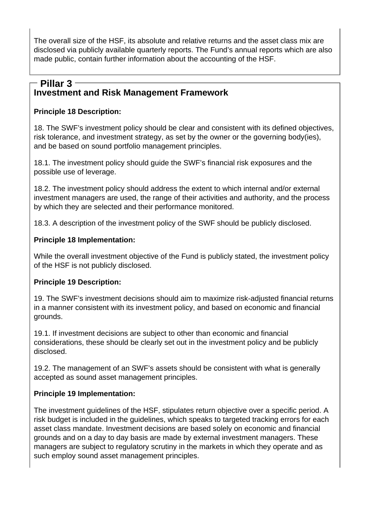The overall size of the HSF, its absolute and relative returns and the asset class mix are disclosed via publicly available quarterly reports. The Fund's annual reports which are also made public, contain further information about the accounting of the HSF.

# **Investment and Risk Management Framework Pillar 3**

# **Principle 18 Description:**

18. The SWF's investment policy should be clear and consistent with its defined objectives, risk tolerance, and investment strategy, as set by the owner or the governing body(ies), and be based on sound portfolio management principles.

18.1. The investment policy should guide the SWF's financial risk exposures and the possible use of leverage.

18.2. The investment policy should address the extent to which internal and/or external investment managers are used, the range of their activities and authority, and the process by which they are selected and their performance monitored.

18.3. A description of the investment policy of the SWF should be publicly disclosed.

# **Principle 18 Implementation:**

While the overall investment objective of the Fund is publicly stated, the investment policy of the HSF is not publicly disclosed.

# **Principle 19 Description:**

19. The SWF's investment decisions should aim to maximize risk-adjusted financial returns in a manner consistent with its investment policy, and based on economic and financial grounds.

19.1. If investment decisions are subject to other than economic and financial considerations, these should be clearly set out in the investment policy and be publicly disclosed.

19.2. The management of an SWF's assets should be consistent with what is generally accepted as sound asset management principles.

# **Principle 19 Implementation:**

The investment guidelines of the HSF, stipulates return objective over a specific period. A risk budget is included in the guidelines, which speaks to targeted tracking errors for each asset class mandate. Investment decisions are based solely on economic and financial grounds and on a day to day basis are made by external investment managers. These managers are subject to regulatory scrutiny in the markets in which they operate and as such employ sound asset management principles.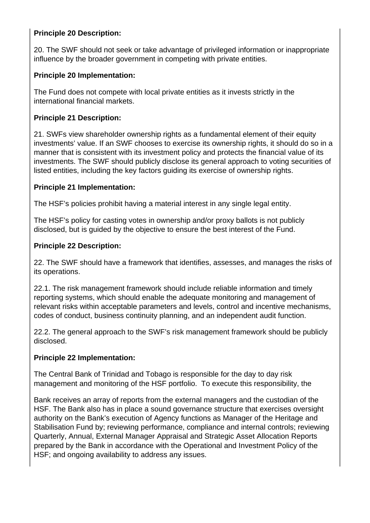### **Principle 20 Description:**

20. The SWF should not seek or take advantage of privileged information or inappropriate influence by the broader government in competing with private entities.

#### **Principle 20 Implementation:**

The Fund does not compete with local private entities as it invests strictly in the international financial markets.

#### **Principle 21 Description:**

21. SWFs view shareholder ownership rights as a fundamental element of their equity investments' value. If an SWF chooses to exercise its ownership rights, it should do so in a manner that is consistent with its investment policy and protects the financial value of its investments. The SWF should publicly disclose its general approach to voting securities of listed entities, including the key factors guiding its exercise of ownership rights.

#### **Principle 21 Implementation:**

The HSF's policies prohibit having a material interest in any single legal entity.

The HSF's policy for casting votes in ownership and/or proxy ballots is not publicly disclosed, but is guided by the objective to ensure the best interest of the Fund.

#### **Principle 22 Description:**

22. The SWF should have a framework that identifies, assesses, and manages the risks of its operations.

22.1. The risk management framework should include reliable information and timely reporting systems, which should enable the adequate monitoring and management of relevant risks within acceptable parameters and levels, control and incentive mechanisms, codes of conduct, business continuity planning, and an independent audit function.

22.2. The general approach to the SWF's risk management framework should be publicly disclosed.

#### **Principle 22 Implementation:**

The Central Bank of Trinidad and Tobago is responsible for the day to day risk management and monitoring of the HSF portfolio. To execute this responsibility, the

Bank receives an array of reports from the external managers and the custodian of the HSF. The Bank also has in place a sound governance structure that exercises oversight authority on the Bank's execution of Agency functions as Manager of the Heritage and Stabilisation Fund by; reviewing performance, compliance and internal controls; reviewing Quarterly, Annual, External Manager Appraisal and Strategic Asset Allocation Reports prepared by the Bank in accordance with the Operational and Investment Policy of the HSF; and ongoing availability to address any issues.